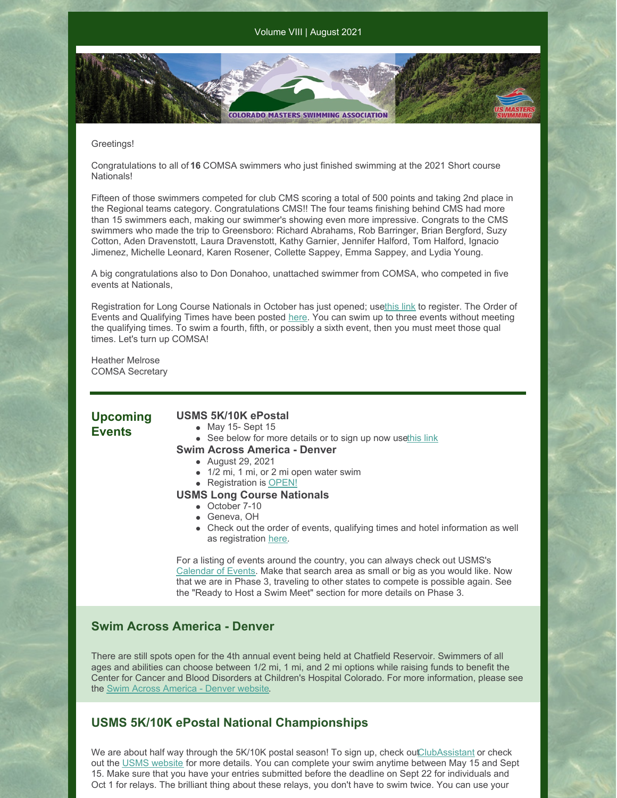**COLORADO MASTERS SWIMMING ASSOCIATION** 

#### Greetings!

Congratulations to all of **16** COMSA swimmers who just finished swimming at the 2021 Short course Nationals!

Fifteen of those swimmers competed for club CMS scoring a total of 500 points and taking 2nd place in the Regional teams category. Congratulations CMS!! The four teams finishing behind CMS had more than 15 swimmers each, making our swimmer's showing even more impressive. Congrats to the CMS swimmers who made the trip to Greensboro: Richard Abrahams, Rob Barringer, Brian Bergford, Suzy Cotton, Aden Dravenstott, Laura Dravenstott, Kathy Garnier, Jennifer Halford, Tom Halford, Ignacio Jimenez, Michelle Leonard, Karen Rosener, Collette Sappey, Emma Sappey, and Lydia Young.

A big congratulations also to Don Donahoo, unattached swimmer from COMSA, who competed in five events at Nationals,

Registration for Long Course Nationals in October has just opened; us[ethis](https://www.clubassistant.com/club/meet_information.cfm?c=2531&smid=14045&_ga=2.127556622.265323115.1627667354-278058099.1627667354) link to register. The Order of Events and Qualifying Times have been posted [here](https://www.usms.org/events/national-championships/pool-national-championships/2021-pool-national-championships/2021-long-course-national-championship). You can swim up to three events without meeting the qualifying times. To swim a fourth, fifth, or possibly a sixth event, then you must meet those qual times. Let's turn up COMSA!

Heather Melrose COMSA Secretary

## **Upcoming Events**

### **USMS 5K/10K ePostal**

- May 15- Sept 15
- See below for more details or to sign up now us[ethis](https://www.clubassistant.com/club/meet_information.cfm?c=1246&smid=13719&_ga=2.10815287.246617231.1622829059-2023156466.1622829059) link

#### **Swim Across America - Denver**

- August 29, 2021
- 1/2 mi, 1 mi, or 2 mi open water swim
- Registration is [OPEN!](https://www.swimacrossamerica.org/site/TR/OpenWater/Denver?pg=entry&fr_id=5761)
- **USMS Long Course Nationals**
	- October 7-10
	- Geneva, OH
	- Check out the order of events, qualifying times and hotel information as well as registration [here](https://book.passkey.com/event/50203226/owner/6893/home).

For a listing of events around the country, you can always check out USMS's [Calendar](https://www.usms.org/events) of Events. Make that search area as small or big as you would like. Now that we are in Phase 3, traveling to other states to compete is possible again. See the "Ready to Host a Swim Meet" section for more details on Phase 3.

## **Swim Across America - Denver**

There are still spots open for the 4th annual event being held at Chatfield Reservoir. Swimmers of all ages and abilities can choose between 1/2 mi, 1 mi, and 2 mi options while raising funds to benefit the Center for Cancer and Blood Disorders at Children's Hospital Colorado. For more information, please see the Swim Across [America](https://www.swimacrossamerica.org/site/TR/OpenWater/Denver?pg=entry&fr_id=5761) - Denver website.

## **USMS 5K/10K ePostal National Championships**

We are about half way through the 5K/10K postal season! To sign up, check ou[tClubAssistant](https://www.clubassistant.com/club/meet_information.cfm?c=1246&smid=13719&_ga=2.9306934.246617231.1622829059-2023156466.1622829059) or check out the USMS [website](https://www.usms.org/events/national-championships/epostal-national-championships) for more details. You can complete your swim anytime between May 15 and Sept 15. Make sure that you have your entries submitted before the deadline on Sept 22 for individuals and Oct 1 for relays. The brilliant thing about these relays, you don't have to swim twice. You can use your